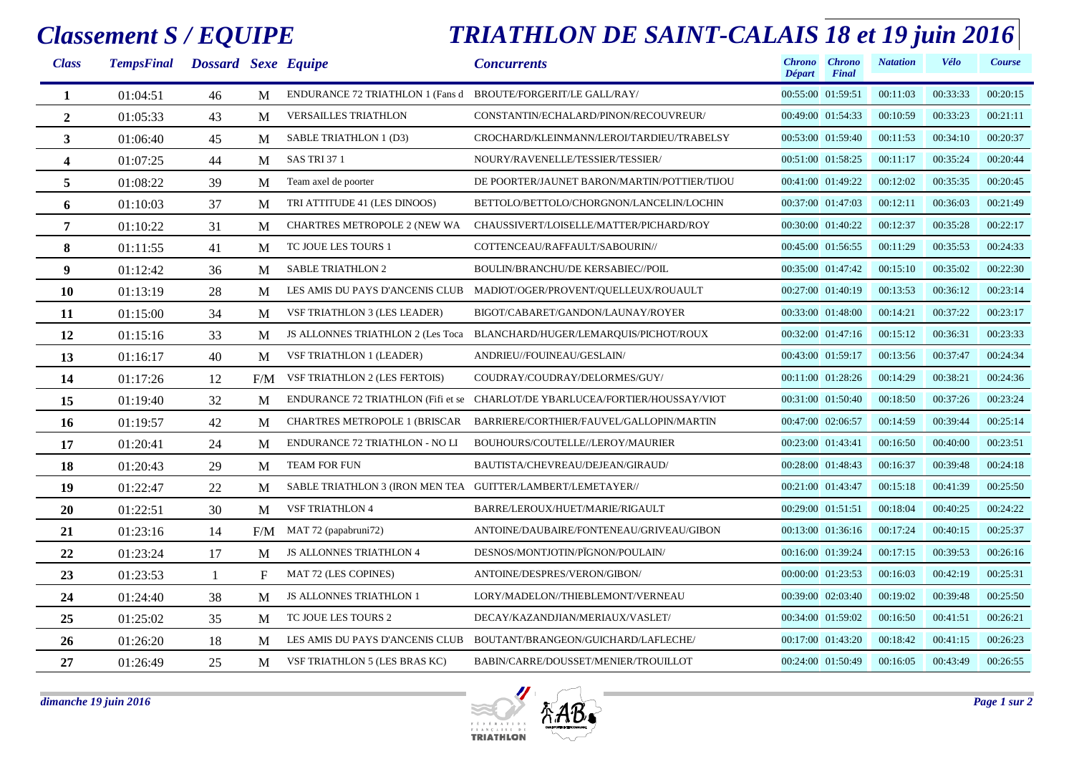## *Classement S / EQUIPE*

## *TRIATHLON DE SAINT-CALAIS 18 et 19 juin 2016*

| <b>Class</b>     | TempsFinal Dossard Sexe Equipe |              |              |                                                               | <b>Concurrents</b>                                                           | Départ            | Chrono Chrono<br>Final | <b>Natation</b> | <b>Vélo</b> | Course   |
|------------------|--------------------------------|--------------|--------------|---------------------------------------------------------------|------------------------------------------------------------------------------|-------------------|------------------------|-----------------|-------------|----------|
| 1                | 01:04:51                       | 46           | M            | ENDURANCE 72 TRIATHLON 1 (Fans d BROUTE/FORGERIT/LE GALL/RAY/ |                                                                              | 00:55:00 01:59:51 |                        | 00:11:03        | 00:33:33    | 00:20:15 |
| $\boldsymbol{2}$ | 01:05:33                       | 43           | M            | <b>VERSAILLES TRIATHLON</b>                                   | CONSTANTIN/ECHALARD/PINON/RECOUVREUR/                                        |                   | 00:49:00 01:54:33      | 00:10:59        | 00:33:23    | 00:21:11 |
| 3                | 01:06:40                       | 45           | M            | SABLE TRIATHLON 1 (D3)                                        | CROCHARD/KLEINMANN/LEROI/TARDIEU/TRABELSY                                    |                   | 00:53:00 01:59:40      | 00:11:53        | 00:34:10    | 00:20:37 |
| 4                | 01:07:25                       | 44           | M            | <b>SAS TRI 37 1</b>                                           | NOURY/RAVENELLE/TESSIER/TESSIER/                                             |                   | 00:51:00 01:58:25      | 00:11:17        | 00:35:24    | 00:20:44 |
| 5                | 01:08:22                       | 39           | M            | Team axel de poorter                                          | DE POORTER/JAUNET BARON/MARTIN/POTTIER/TIJOU                                 |                   | 00:41:00 01:49:22      | 00:12:02        | 00:35:35    | 00:20:45 |
| 6                | 01:10:03                       | 37           | M            | TRI ATTITUDE 41 (LES DINOOS)                                  | BETTOLO/BETTOLO/CHORGNON/LANCELIN/LOCHIN                                     |                   | 00:37:00 01:47:03      | 00:12:11        | 00:36:03    | 00:21:49 |
| 7                | 01:10:22                       | 31           | M            | <b>CHARTRES METROPOLE 2 (NEW WA</b>                           | CHAUSSIVERT/LOISELLE/MATTER/PICHARD/ROY                                      |                   | 00:30:00 01:40:22      | 00:12:37        | 00:35:28    | 00:22:17 |
| 8                | 01:11:55                       | 41           | M            | TC JOUE LES TOURS 1                                           | COTTENCEAU/RAFFAULT/SABOURIN//                                               |                   | 00:45:00 01:56:55      | 00:11:29        | 00:35:53    | 00:24:33 |
| 9                | 01:12:42                       | 36           | M            | <b>SABLE TRIATHLON 2</b>                                      | <b>BOULIN/BRANCHU/DE KERSABIEC//POIL</b>                                     |                   | 00:35:00 01:47:42      | 00:15:10        | 00:35:02    | 00:22:30 |
| 10               | 01:13:19                       | 28           | M            | LES AMIS DU PAYS D'ANCENIS CLUB                               | MADIOT/OGER/PROVENT/QUELLEUX/ROUAULT                                         |                   | 00:27:00 01:40:19      | 00:13:53        | 00:36:12    | 00:23:14 |
| 11               | 01:15:00                       | 34           | M            | <b>VSF TRIATHLON 3 (LES LEADER)</b>                           | BIGOT/CABARET/GANDON/LAUNAY/ROYER                                            |                   | 00:33:00 01:48:00      | 00:14:21        | 00:37:22    | 00:23:17 |
| 12               | 01:15:16                       | 33           | M            |                                                               | JS ALLONNES TRIATHLON 2 (Les Toca BLANCHARD/HUGER/LEMARQUIS/PICHOT/ROUX      |                   | 00:32:00 01:47:16      | 00:15:12        | 00:36:31    | 00:23:33 |
| 13               | 01:16:17                       | 40           | M            | VSF TRIATHLON 1 (LEADER)                                      | ANDRIEU//FOUINEAU/GESLAIN/                                                   |                   | 00:43:00 01:59:17      | 00:13:56        | 00:37:47    | 00:24:34 |
| 14               | 01:17:26                       | 12           | F/M          | <b>VSF TRIATHLON 2 (LES FERTOIS)</b>                          | COUDRAY/COUDRAY/DELORMES/GUY/                                                |                   | 00:11:00 01:28:26      | 00:14:29        | 00:38:21    | 00:24:36 |
| 15               | 01:19:40                       | 32           | M            |                                                               | ENDURANCE 72 TRIATHLON (Fifi et se CHARLOT/DE YBARLUCEA/FORTIER/HOUSSAY/VIOT |                   | 00:31:00 01:50:40      | 00:18:50        | 00:37:26    | 00:23:24 |
| 16               | 01:19:57                       | 42           | M            | <b>CHARTRES METROPOLE 1 (BRISCAR)</b>                         | BARRIERE/CORTHIER/FAUVEL/GALLOPIN/MARTIN                                     | 00:47:00 02:06:57 |                        | 00:14:59        | 00:39:44    | 00:25:14 |
| 17               | 01:20:41                       | 24           | M            | <b>ENDURANCE 72 TRIATHLON - NO LI</b>                         | BOUHOURS/COUTELLE//LEROY/MAURIER                                             | 00:23:00 01:43:41 |                        | 00:16:50        | 00:40:00    | 00:23:51 |
| 18               | 01:20:43                       | 29           | M            | <b>TEAM FOR FUN</b>                                           | BAUTISTA/CHEVREAU/DEJEAN/GIRAUD/                                             |                   | 00:28:00 01:48:43      | 00:16:37        | 00:39:48    | 00:24:18 |
| 19               | 01:22:47                       | 22           | M            | SABLE TRIATHLON 3 (IRON MEN TEA GUITTER/LAMBERT/LEMETAYER//   |                                                                              | 00:21:00 01:43:47 |                        | 00:15:18        | 00:41:39    | 00:25:50 |
| 20               | 01:22:51                       | 30           | M            | <b>VSF TRIATHLON 4</b>                                        | BARRE/LEROUX/HUET/MARIE/RIGAULT                                              | 00:29:00 01:51:51 |                        | 00:18:04        | 00:40:25    | 00:24:22 |
| 21               | 01:23:16                       | 14           | F/M          | MAT 72 (papabruni72)                                          | ANTOINE/DAUBAIRE/FONTENEAU/GRIVEAU/GIBON                                     |                   | 00:13:00 01:36:16      | 00:17:24        | 00:40:15    | 00:25:37 |
| 22               | 01:23:24                       | 17           | M            | <b>JS ALLONNES TRIATHLON 4</b>                                | DESNOS/MONTJOTIN/PÏGNON/POULAIN/                                             |                   | 00:16:00 01:39:24      | 00:17:15        | 00:39:53    | 00:26:16 |
| 23               | 01:23:53                       | $\mathbf{1}$ | $\mathbf{F}$ | <b>MAT 72 (LES COPINES)</b>                                   | ANTOINE/DESPRES/VERON/GIBON/                                                 |                   | 00:00:00 01:23:53      | 00:16:03        | 00:42:19    | 00:25:31 |
| 24               | 01:24:40                       | 38           | M            | JS ALLONNES TRIATHLON 1                                       | LORY/MADELON//THIEBLEMONT/VERNEAU                                            |                   | 00:39:00 02:03:40      | 00:19:02        | 00:39:48    | 00:25:50 |
| 25               | 01:25:02                       | 35           | M            | TC JOUE LES TOURS 2                                           | DECAY/KAZANDJIAN/MERIAUX/VASLET/                                             |                   | 00:34:00 01:59:02      | 00:16:50        | 00:41:51    | 00:26:21 |
| 26               | 01:26:20                       | 18           | M            | LES AMIS DU PAYS D'ANCENIS CLUB                               | BOUTANT/BRANGEON/GUICHARD/LAFLECHE/                                          |                   | 00:17:00 01:43:20      | 00:18:42        | 00:41:15    | 00:26:23 |
| 27               | 01:26:49                       | 25           | M            | VSF TRIATHLON 5 (LES BRAS KC)                                 | BABIN/CARRE/DOUSSET/MENIER/TROUILLOT                                         |                   | 00:24:00 01:50:49      | 00:16:05        | 00:43:49    | 00:26:55 |